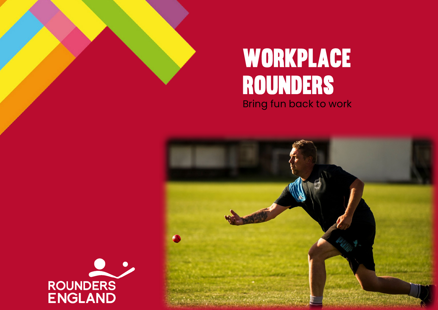





 $\frac{1}{2}$ 

í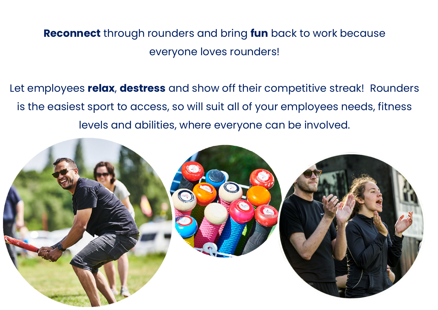### **Reconnect** through rounders and bring **fun** back to work because everyone loves rounders!

Let employees **relax**, **destress** and show off their competitive streak! Rounders is the easiest sport to access, so will suit all of your employees needs, fitness levels and abilities, where everyone can be involved.

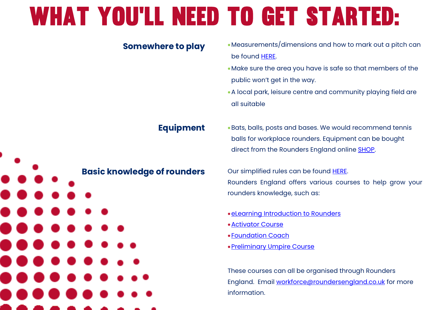# What you'll need to get started:



**Somewhere to play** 

- •Measurements/dimensions and how to mark out a pitch can
- •Make sure the area you have is safe so that members of the public won't get in the way.
- •A local park, leisure centre and community playing field are

•Bats, balls, posts and bases. We would recommend tennis balls for workplace rounders. Equipment can be bought direct from the Rounders England online [SHOP.](https://www.roundersengland.co.uk/shop/)

Our simplified rules can be found [HERE.](https://www.roundersengland.co.uk/content/uploads/2018/08/Simplified-Rules-2018.pdf) Rounders England offers various courses to help grow your rounders knowledge, such as:

- •[eLearning Introduction](https://www.roundersengland.co.uk/learn/leadership/#Introduction%20to%20Rounders%20elearning%20course) to Rounders
- •[Preliminary Umpire Course](https://www.roundersengland.co.uk/learn/umpiring/)

These courses can all be organised through Rounders England. Email [workforce@roundersengland.co.uk](mailto:workforce@roundersengland.co.uk) for more